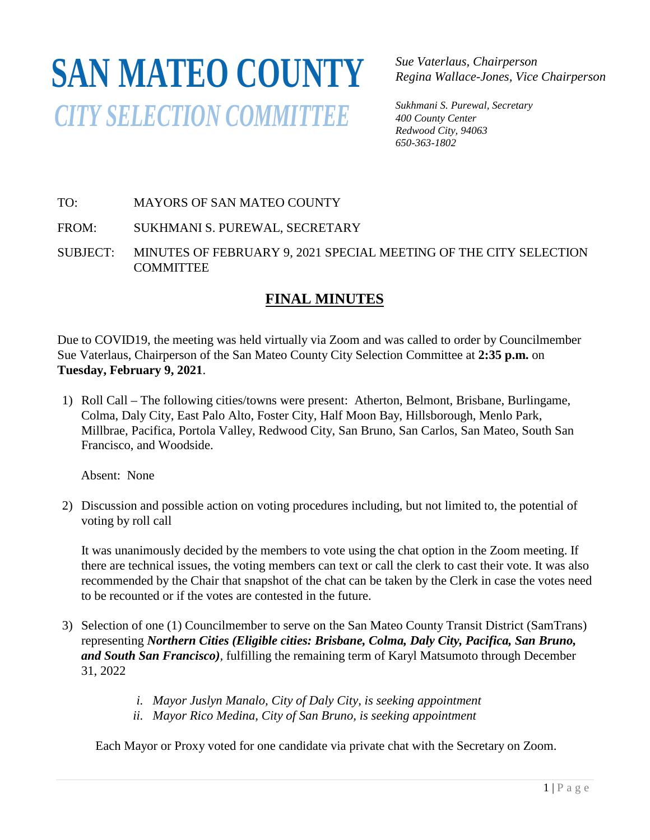# **SAN MATEO COUNTY***CITY SELECTION COMMITTEE*

*Sue Vaterlaus, Chairperson Regina Wallace-Jones, Vice Chairperson*

*Sukhmani S. Purewal, Secretary 400 County Center Redwood City, 94063 650-363-1802*

## TO: MAYORS OF SAN MATEO COUNTY

FROM: SUKHMANI S. PUREWAL, SECRETARY

SUBJECT: MINUTES OF FEBRUARY 9, 2021 SPECIAL MEETING OF THE CITY SELECTION COMMITTEE

# **FINAL MINUTES**

Due to COVID19, the meeting was held virtually via Zoom and was called to order by Councilmember Sue Vaterlaus, Chairperson of the San Mateo County City Selection Committee at **2:35 p.m.** on **Tuesday, February 9, 2021**.

1) Roll Call – The following cities/towns were present: Atherton, Belmont, Brisbane, Burlingame, Colma, Daly City, East Palo Alto, Foster City, Half Moon Bay, Hillsborough, Menlo Park, Millbrae, Pacifica, Portola Valley, Redwood City, San Bruno, San Carlos, San Mateo, South San Francisco, and Woodside.

Absent: None

2) Discussion and possible action on voting procedures including, but not limited to, the potential of voting by roll call

It was unanimously decided by the members to vote using the chat option in the Zoom meeting. If there are technical issues, the voting members can text or call the clerk to cast their vote. It was also recommended by the Chair that snapshot of the chat can be taken by the Clerk in case the votes need to be recounted or if the votes are contested in the future.

- 3) Selection of one (1) Councilmember to serve on the San Mateo County Transit District (SamTrans) representing *Northern Cities (Eligible cities: Brisbane, Colma, Daly City, Pacifica, San Bruno, and South San Francisco),* fulfilling the remaining term of Karyl Matsumoto through December 31, 2022
	- *i. Mayor Juslyn Manalo, City of Daly City, is seeking appointment*
	- *ii. Mayor Rico Medina, City of San Bruno, is seeking appointment*

Each Mayor or Proxy voted for one candidate via private chat with the Secretary on Zoom.